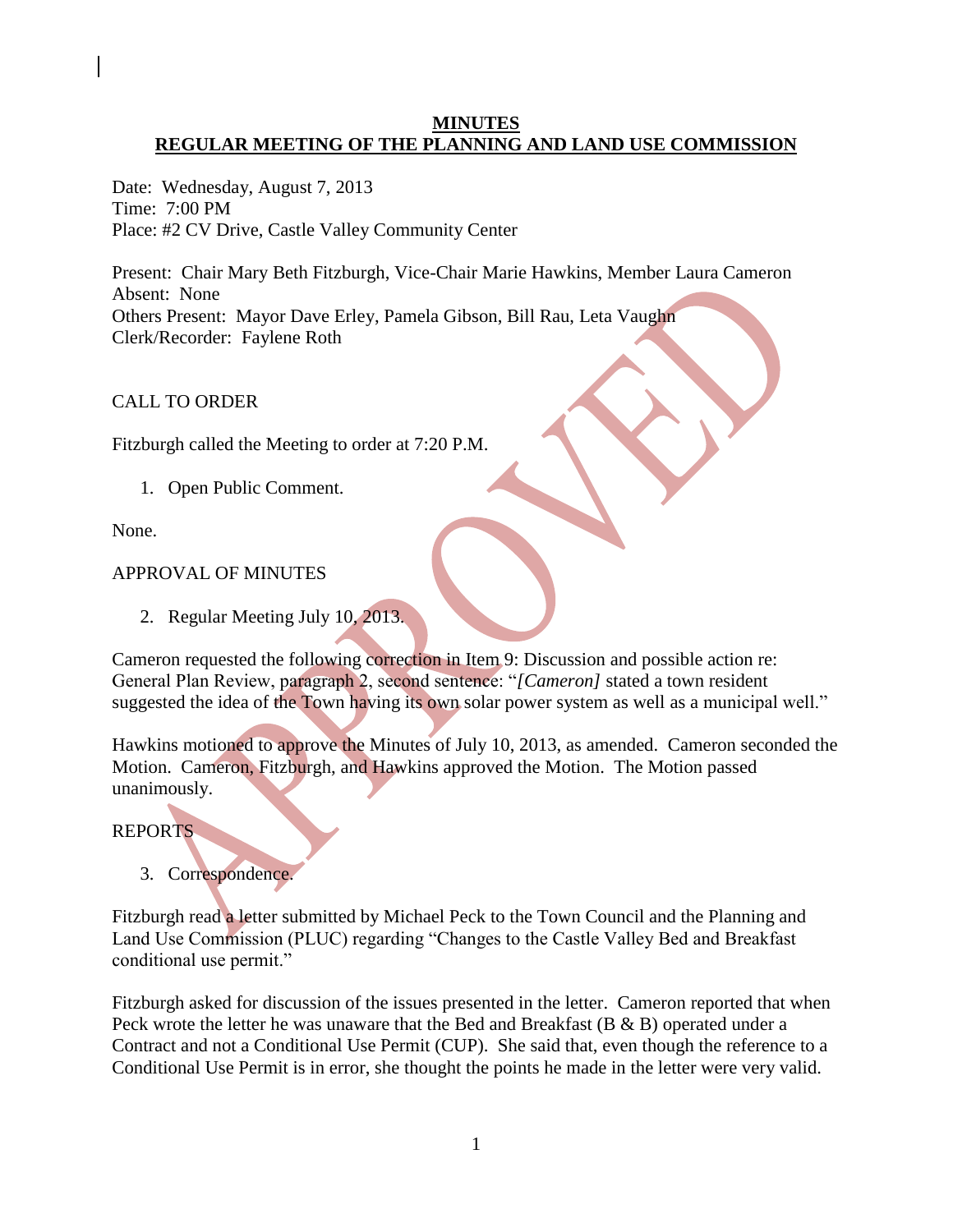## **MINUTES REGULAR MEETING OF THE PLANNING AND LAND USE COMMISSION**

Date: Wednesday, August 7, 2013 Time: 7:00 PM Place: #2 CV Drive, Castle Valley Community Center

Present: Chair Mary Beth Fitzburgh, Vice-Chair Marie Hawkins, Member Laura Cameron Absent: None Others Present: Mayor Dave Erley, Pamela Gibson, Bill Rau, Leta Vaughn Clerk/Recorder: Faylene Roth

CALL TO ORDER

Fitzburgh called the Meeting to order at 7:20 P.M.

1. Open Public Comment.

None.

# APPROVAL OF MINUTES

2. Regular Meeting July 10, 2013.

Cameron requested the following correction in Item 9: Discussion and possible action re: General Plan Review, paragraph 2, second sentence: "*[Cameron]* stated a town resident suggested the idea of the Town having its own solar power system as well as a municipal well."

Hawkins motioned to approve the Minutes of July 10, 2013, as amended. Cameron seconded the Motion. Cameron, Fitzburgh, and Hawkins approved the Motion. The Motion passed unanimously.

# REPORTS

3. Correspondence.

Fitzburgh read a letter submitted by Michael Peck to the Town Council and the Planning and Land Use Commission (PLUC) regarding "Changes to the Castle Valley Bed and Breakfast conditional use permit."

Fitzburgh asked for discussion of the issues presented in the letter. Cameron reported that when Peck wrote the letter he was unaware that the Bed and Breakfast (B & B) operated under a Contract and not a Conditional Use Permit (CUP). She said that, even though the reference to a Conditional Use Permit is in error, she thought the points he made in the letter were very valid.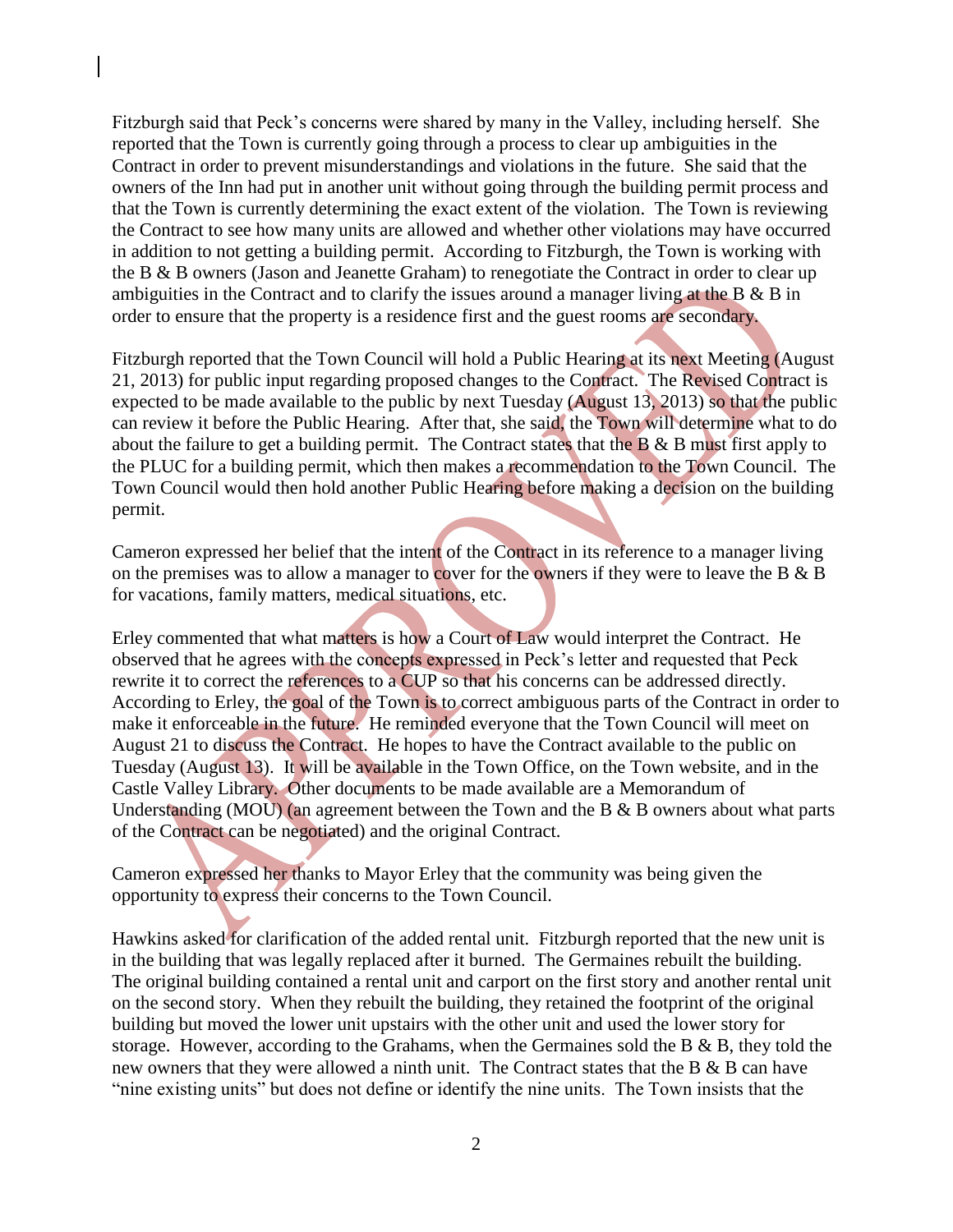Fitzburgh said that Peck's concerns were shared by many in the Valley, including herself. She reported that the Town is currently going through a process to clear up ambiguities in the Contract in order to prevent misunderstandings and violations in the future. She said that the owners of the Inn had put in another unit without going through the building permit process and that the Town is currently determining the exact extent of the violation. The Town is reviewing the Contract to see how many units are allowed and whether other violations may have occurred in addition to not getting a building permit. According to Fitzburgh, the Town is working with the B & B owners (Jason and Jeanette Graham) to renegotiate the Contract in order to clear up ambiguities in the Contract and to clarify the issues around a manager living at the B & B in order to ensure that the property is a residence first and the guest rooms are secondary.

Fitzburgh reported that the Town Council will hold a Public Hearing at its next Meeting (August 21, 2013) for public input regarding proposed changes to the Contract. The Revised Contract is expected to be made available to the public by next Tuesday (August 13, 2013) so that the public can review it before the Public Hearing. After that, she said, the Town will determine what to do about the failure to get a building permit. The Contract states that the B & B must first apply to the PLUC for a building permit, which then makes a recommendation to the Town Council. The Town Council would then hold another Public Hearing before making a decision on the building permit.

Cameron expressed her belief that the intent of the Contract in its reference to a manager living on the premises was to allow a manager to cover for the owners if they were to leave the B & B for vacations, family matters, medical situations, etc.

Erley commented that what matters is how a Court of Law would interpret the Contract. He observed that he agrees with the concepts expressed in Peck's letter and requested that Peck rewrite it to correct the references to a CUP so that his concerns can be addressed directly. According to Erley, the goal of the Town is to correct ambiguous parts of the Contract in order to make it enforceable in the future. He reminded everyone that the Town Council will meet on August 21 to discuss the Contract. He hopes to have the Contract available to the public on Tuesday (August 13). It will be available in the Town Office, on the Town website, and in the Castle Valley Library. Other documents to be made available are a Memorandum of Understanding (MOU) (an agreement between the Town and the B  $\&$  B owners about what parts of the Contract can be negotiated) and the original Contract.

Cameron expressed her thanks to Mayor Erley that the community was being given the opportunity to express their concerns to the Town Council.

Hawkins asked for clarification of the added rental unit. Fitzburgh reported that the new unit is in the building that was legally replaced after it burned. The Germaines rebuilt the building. The original building contained a rental unit and carport on the first story and another rental unit on the second story. When they rebuilt the building, they retained the footprint of the original building but moved the lower unit upstairs with the other unit and used the lower story for storage. However, according to the Grahams, when the Germaines sold the B & B, they told the new owners that they were allowed a ninth unit. The Contract states that the B & B can have "nine existing units" but does not define or identify the nine units. The Town insists that the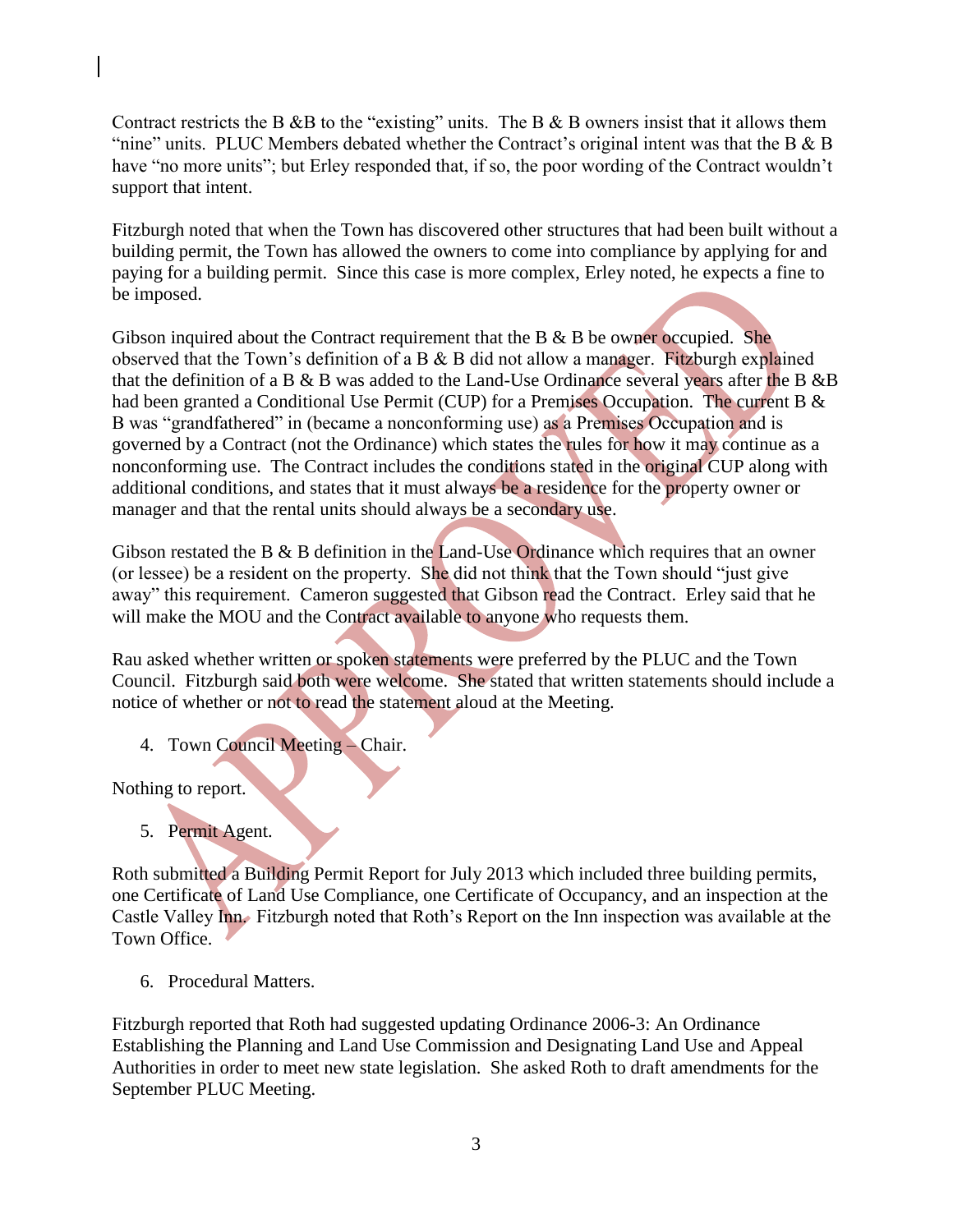Contract restricts the B &B to the "existing" units. The B & B owners insist that it allows them "nine" units. PLUC Members debated whether the Contract's original intent was that the B & B have "no more units"; but Erley responded that, if so, the poor wording of the Contract wouldn't support that intent.

Fitzburgh noted that when the Town has discovered other structures that had been built without a building permit, the Town has allowed the owners to come into compliance by applying for and paying for a building permit. Since this case is more complex, Erley noted, he expects a fine to be imposed.

Gibson inquired about the Contract requirement that the B  $\&$  B be owner occupied. She observed that the Town's definition of a B & B did not allow a manager. Fitzburgh explained that the definition of a B & B was added to the Land-Use Ordinance several years after the B &B had been granted a Conditional Use Permit (CUP) for a Premises Occupation. The current B & B was "grandfathered" in (became a nonconforming use) as a Premises Occupation and is governed by a Contract (not the Ordinance) which states the rules for how it may continue as a nonconforming use. The Contract includes the conditions stated in the original CUP along with additional conditions, and states that it must always be a residence for the property owner or manager and that the rental units should always be a secondary use.

Gibson restated the B & B definition in the Land-Use Ordinance which requires that an owner (or lessee) be a resident on the property. She did not think that the Town should "just give away" this requirement. Cameron suggested that Gibson read the Contract. Erley said that he will make the MOU and the Contract available to anyone who requests them.

Rau asked whether written or spoken statements were preferred by the PLUC and the Town Council. Fitzburgh said both were welcome. She stated that written statements should include a notice of whether or not to read the statement aloud at the Meeting.

4. Town Council Meeting – Chair.

Nothing to report.

5. Permit Agent.

Roth submitted a Building Permit Report for July 2013 which included three building permits, one Certificate of Land Use Compliance, one Certificate of Occupancy, and an inspection at the Castle Valley Inn. Fitzburgh noted that Roth's Report on the Inn inspection was available at the Town Office.

6. Procedural Matters.

Fitzburgh reported that Roth had suggested updating Ordinance 2006-3: An Ordinance Establishing the Planning and Land Use Commission and Designating Land Use and Appeal Authorities in order to meet new state legislation. She asked Roth to draft amendments for the September PLUC Meeting.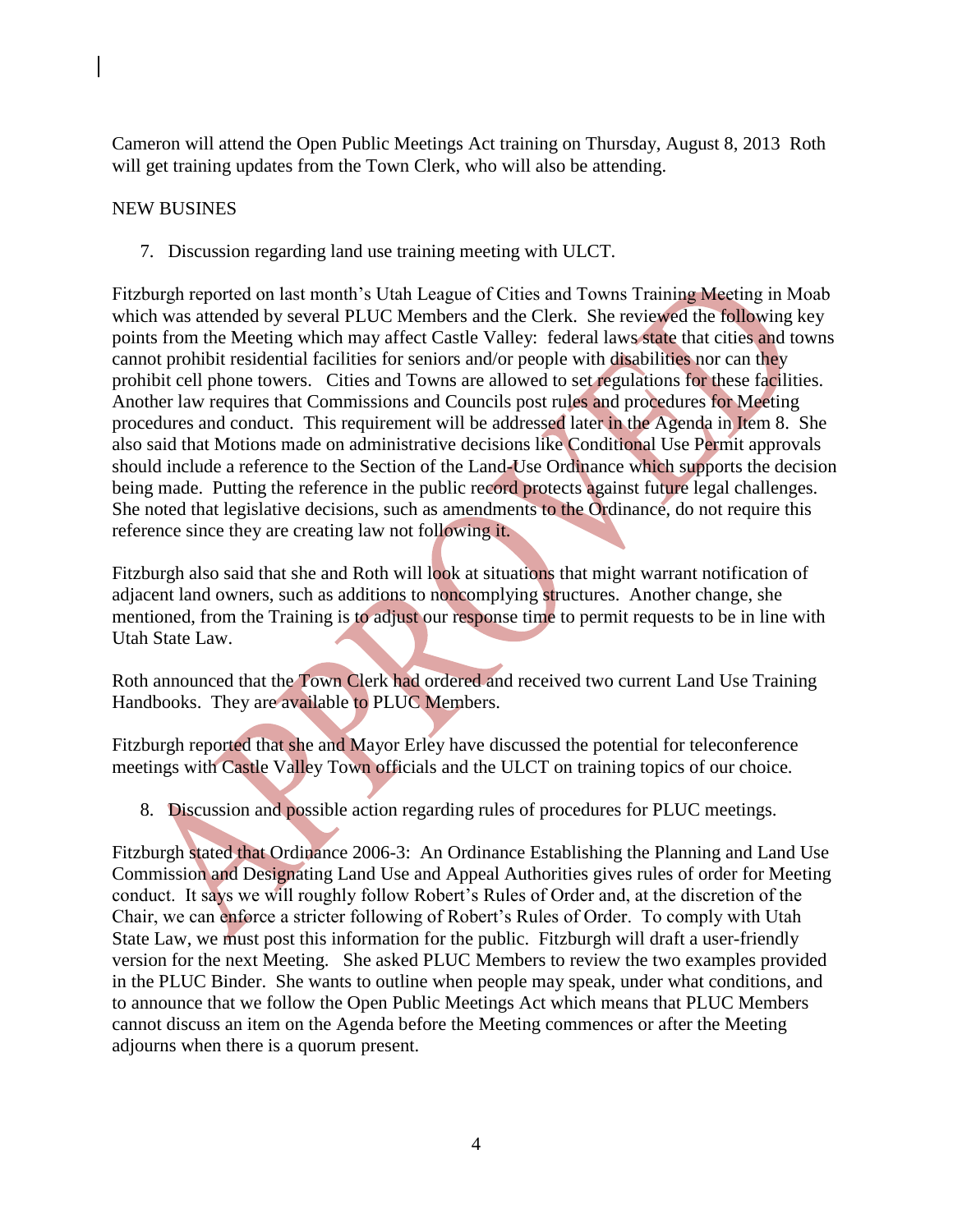Cameron will attend the Open Public Meetings Act training on Thursday, August 8, 2013 Roth will get training updates from the Town Clerk, who will also be attending.

## NEW BUSINES

7. Discussion regarding land use training meeting with ULCT.

Fitzburgh reported on last month's Utah League of Cities and Towns Training Meeting in Moab which was attended by several PLUC Members and the Clerk. She reviewed the following key points from the Meeting which may affect Castle Valley: federal laws state that cities and towns cannot prohibit residential facilities for seniors and/or people with disabilities nor can they prohibit cell phone towers. Cities and Towns are allowed to set regulations for these facilities. Another law requires that Commissions and Councils post rules and procedures for Meeting procedures and conduct. This requirement will be addressed later in the Agenda in Item 8. She also said that Motions made on administrative decisions like Conditional Use Permit approvals should include a reference to the Section of the Land-Use Ordinance which supports the decision being made. Putting the reference in the public record protects against future legal challenges. She noted that legislative decisions, such as amendments to the Ordinance, do not require this reference since they are creating law not following it.

Fitzburgh also said that she and Roth will look at situations that might warrant notification of adjacent land owners, such as additions to noncomplying structures. Another change, she mentioned, from the Training is to adjust our response time to permit requests to be in line with Utah State Law.

Roth announced that the Town Clerk had ordered and received two current Land Use Training Handbooks. They are available to PLUC Members.

Fitzburgh reported that she and Mayor Erley have discussed the potential for teleconference meetings with Castle Valley Town officials and the ULCT on training topics of our choice.

8. Discussion and possible action regarding rules of procedures for PLUC meetings.

Fitzburgh stated that Ordinance 2006-3: An Ordinance Establishing the Planning and Land Use Commission and Designating Land Use and Appeal Authorities gives rules of order for Meeting conduct. It says we will roughly follow Robert's Rules of Order and, at the discretion of the Chair, we can enforce a stricter following of Robert's Rules of Order. To comply with Utah State Law, we must post this information for the public. Fitzburgh will draft a user-friendly version for the next Meeting. She asked PLUC Members to review the two examples provided in the PLUC Binder. She wants to outline when people may speak, under what conditions, and to announce that we follow the Open Public Meetings Act which means that PLUC Members cannot discuss an item on the Agenda before the Meeting commences or after the Meeting adjourns when there is a quorum present.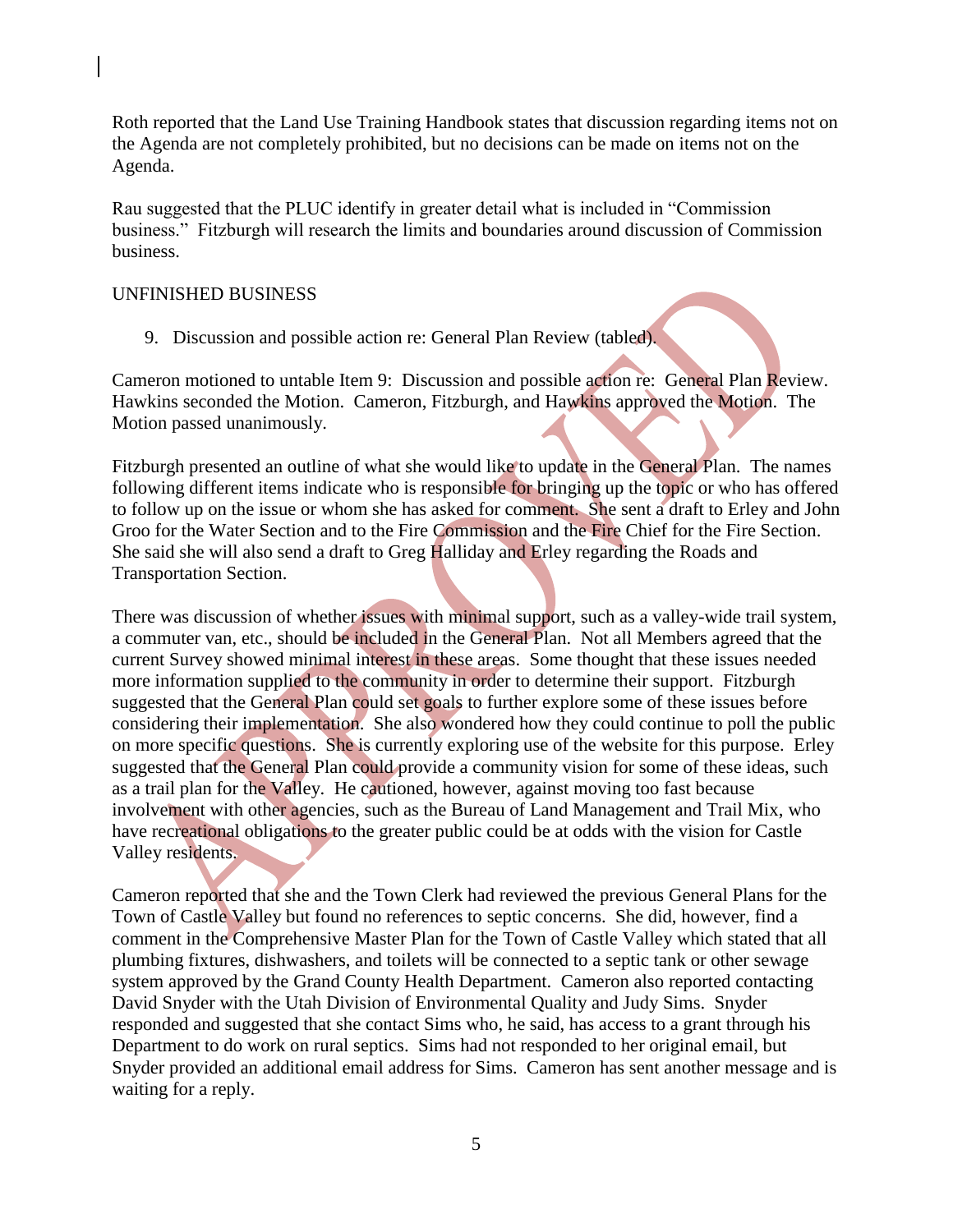Roth reported that the Land Use Training Handbook states that discussion regarding items not on the Agenda are not completely prohibited, but no decisions can be made on items not on the Agenda.

Rau suggested that the PLUC identify in greater detail what is included in "Commission business." Fitzburgh will research the limits and boundaries around discussion of Commission business.

## UNFINISHED BUSINESS

9. Discussion and possible action re: General Plan Review (tabled).

Cameron motioned to untable Item 9: Discussion and possible action re: General Plan Review. Hawkins seconded the Motion. Cameron, Fitzburgh, and Hawkins approved the Motion. The Motion passed unanimously.

Fitzburgh presented an outline of what she would like to update in the General Plan. The names following different items indicate who is responsible for bringing up the topic or who has offered to follow up on the issue or whom she has asked for comment. She sent a draft to Erley and John Groo for the Water Section and to the Fire Commission and the Fire Chief for the Fire Section. She said she will also send a draft to Greg Halliday and Erley regarding the Roads and Transportation Section.

There was discussion of whether issues with minimal support, such as a valley-wide trail system, a commuter van, etc., should be included in the General Plan. Not all Members agreed that the current Survey showed minimal interest in these areas. Some thought that these issues needed more information supplied to the community in order to determine their support. Fitzburgh suggested that the General Plan could set goals to further explore some of these issues before considering their implementation. She also wondered how they could continue to poll the public on more specific questions. She is currently exploring use of the website for this purpose. Erley suggested that the General Plan could provide a community vision for some of these ideas, such as a trail plan for the Valley. He cautioned, however, against moving too fast because involvement with other agencies, such as the Bureau of Land Management and Trail Mix, who have recreational obligations to the greater public could be at odds with the vision for Castle Valley residents.

Cameron reported that she and the Town Clerk had reviewed the previous General Plans for the Town of Castle Valley but found no references to septic concerns. She did, however, find a comment in the Comprehensive Master Plan for the Town of Castle Valley which stated that all plumbing fixtures, dishwashers, and toilets will be connected to a septic tank or other sewage system approved by the Grand County Health Department. Cameron also reported contacting David Snyder with the Utah Division of Environmental Quality and Judy Sims. Snyder responded and suggested that she contact Sims who, he said, has access to a grant through his Department to do work on rural septics. Sims had not responded to her original email, but Snyder provided an additional email address for Sims. Cameron has sent another message and is waiting for a reply.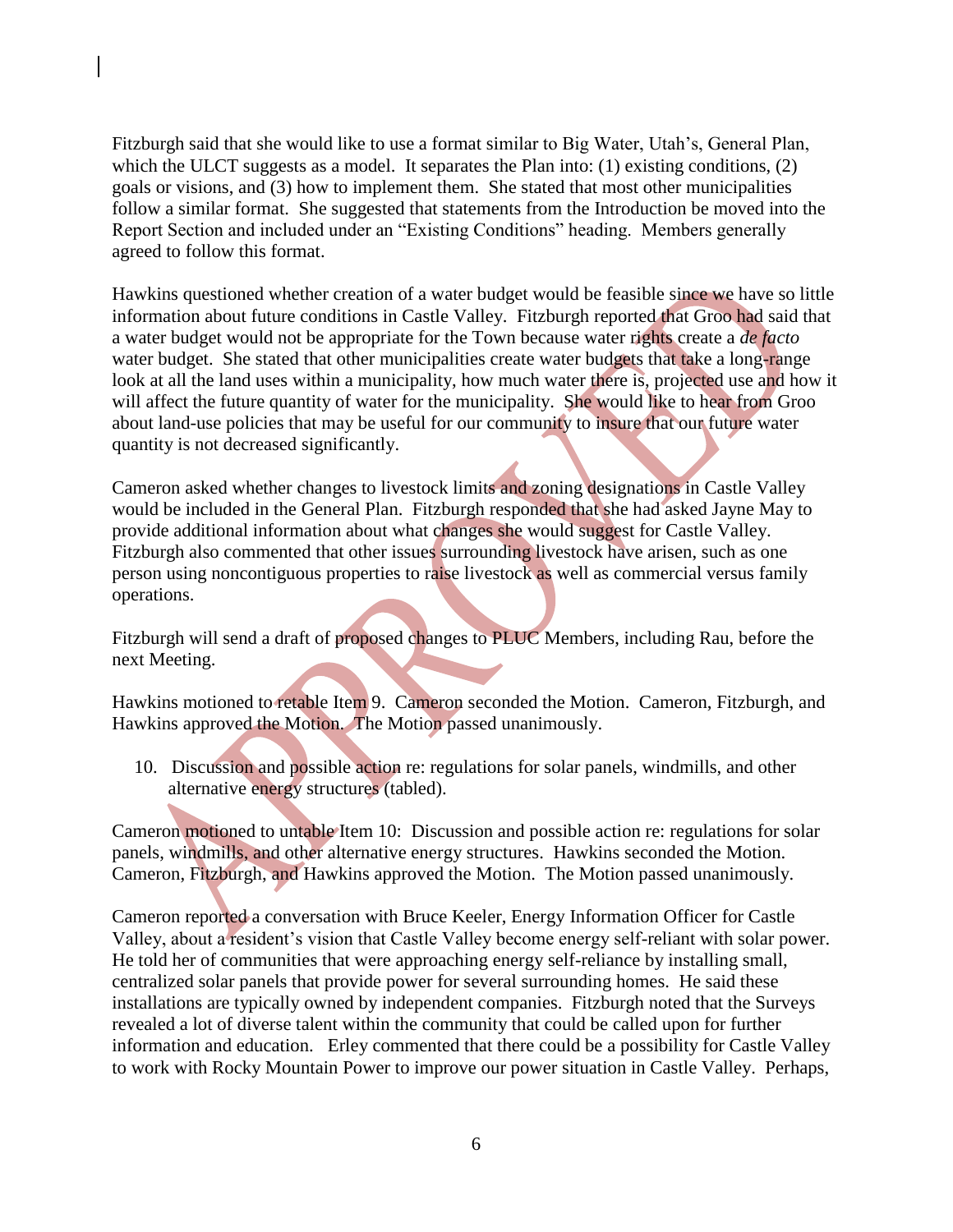Fitzburgh said that she would like to use a format similar to Big Water, Utah's, General Plan, which the ULCT suggests as a model. It separates the Plan into: (1) existing conditions, (2) goals or visions, and (3) how to implement them. She stated that most other municipalities follow a similar format. She suggested that statements from the Introduction be moved into the Report Section and included under an "Existing Conditions" heading. Members generally agreed to follow this format.

Hawkins questioned whether creation of a water budget would be feasible since we have so little information about future conditions in Castle Valley. Fitzburgh reported that Groo had said that a water budget would not be appropriate for the Town because water rights create a *de facto* water budget. She stated that other municipalities create water budgets that take a long-range look at all the land uses within a municipality, how much water there is, projected use and how it will affect the future quantity of water for the municipality. She would like to hear from Groo about land-use policies that may be useful for our community to insure that our future water quantity is not decreased significantly.

Cameron asked whether changes to livestock limits and zoning designations in Castle Valley would be included in the General Plan. Fitzburgh responded that she had asked Jayne May to provide additional information about what changes she would suggest for Castle Valley. Fitzburgh also commented that other issues surrounding livestock have arisen, such as one person using noncontiguous properties to raise livestock as well as commercial versus family operations.

Fitzburgh will send a draft of proposed changes to PLUC Members, including Rau, before the next Meeting.

Hawkins motioned to retable Item 9. Cameron seconded the Motion. Cameron, Fitzburgh, and Hawkins approved the Motion. The Motion passed unanimously.

10. Discussion and possible action re: regulations for solar panels, windmills, and other alternative energy structures (tabled).

Cameron motioned to untable Item 10: Discussion and possible action re: regulations for solar panels, windmills, and other alternative energy structures. Hawkins seconded the Motion. Cameron, Fitzburgh, and Hawkins approved the Motion. The Motion passed unanimously.

Cameron reported a conversation with Bruce Keeler, Energy Information Officer for Castle Valley, about a resident's vision that Castle Valley become energy self-reliant with solar power. He told her of communities that were approaching energy self-reliance by installing small, centralized solar panels that provide power for several surrounding homes. He said these installations are typically owned by independent companies. Fitzburgh noted that the Surveys revealed a lot of diverse talent within the community that could be called upon for further information and education. Erley commented that there could be a possibility for Castle Valley to work with Rocky Mountain Power to improve our power situation in Castle Valley. Perhaps,